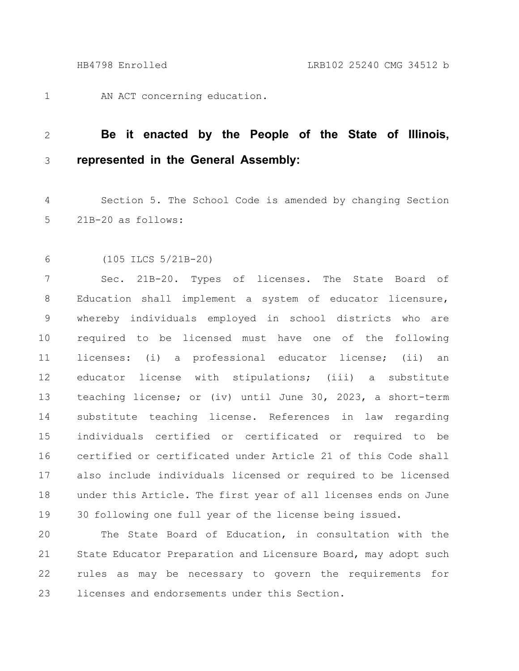AN ACT concerning education. 1

## **Be it enacted by the People of the State of Illinois, represented in the General Assembly:** 2 3

Section 5. The School Code is amended by changing Section 21B-20 as follows: 4 5

(105 ILCS 5/21B-20) 6

Sec. 21B-20. Types of licenses. The State Board of Education shall implement a system of educator licensure, whereby individuals employed in school districts who are required to be licensed must have one of the following licenses: (i) a professional educator license; (ii) an educator license with stipulations; (iii) a substitute teaching license; or (iv) until June 30, 2023, a short-term substitute teaching license. References in law regarding individuals certified or certificated or required to be certified or certificated under Article 21 of this Code shall also include individuals licensed or required to be licensed under this Article. The first year of all licenses ends on June 30 following one full year of the license being issued. 7 8 9 10 11 12 13 14 15 16 17 18 19

The State Board of Education, in consultation with the State Educator Preparation and Licensure Board, may adopt such rules as may be necessary to govern the requirements for licenses and endorsements under this Section. 20 21 22 23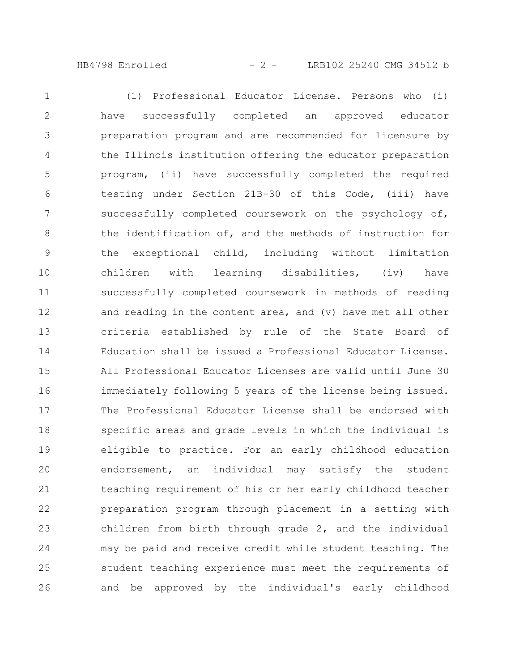## HB4798 Enrolled - 2 - LRB102 25240 CMG 34512 b

(1) Professional Educator License. Persons who (i) have successfully completed an approved educator preparation program and are recommended for licensure by the Illinois institution offering the educator preparation program, (ii) have successfully completed the required testing under Section 21B-30 of this Code, (iii) have successfully completed coursework on the psychology of, the identification of, and the methods of instruction for the exceptional child, including without limitation children with learning disabilities, (iv) have successfully completed coursework in methods of reading and reading in the content area, and (v) have met all other criteria established by rule of the State Board of Education shall be issued a Professional Educator License. All Professional Educator Licenses are valid until June 30 immediately following 5 years of the license being issued. The Professional Educator License shall be endorsed with specific areas and grade levels in which the individual is eligible to practice. For an early childhood education endorsement, an individual may satisfy the student teaching requirement of his or her early childhood teacher preparation program through placement in a setting with children from birth through grade 2, and the individual may be paid and receive credit while student teaching. The student teaching experience must meet the requirements of and be approved by the individual's early childhood 1 2 3 4 5 6 7 8 9 10 11 12 13 14 15 16 17 18 19 20 21 22 23 24 25 26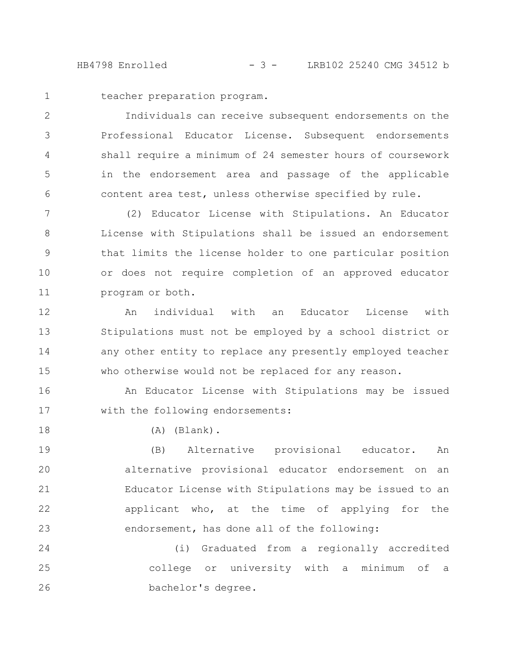HB4798 Enrolled - 3 - LRB102 25240 CMG 34512 b

1

18

teacher preparation program.

Individuals can receive subsequent endorsements on the Professional Educator License. Subsequent endorsements shall require a minimum of 24 semester hours of coursework in the endorsement area and passage of the applicable content area test, unless otherwise specified by rule. 2 3 4 5 6

(2) Educator License with Stipulations. An Educator License with Stipulations shall be issued an endorsement that limits the license holder to one particular position or does not require completion of an approved educator program or both. 7 8 9 10 11

An individual with an Educator License with Stipulations must not be employed by a school district or any other entity to replace any presently employed teacher who otherwise would not be replaced for any reason. 12 13 14 15

An Educator License with Stipulations may be issued with the following endorsements: 16 17

(A) (Blank).

(B) Alternative provisional educator. An alternative provisional educator endorsement on an Educator License with Stipulations may be issued to an applicant who, at the time of applying for the endorsement, has done all of the following: 19 20 21 22 23

(i) Graduated from a regionally accredited college or university with a minimum of a bachelor's degree. 24 25 26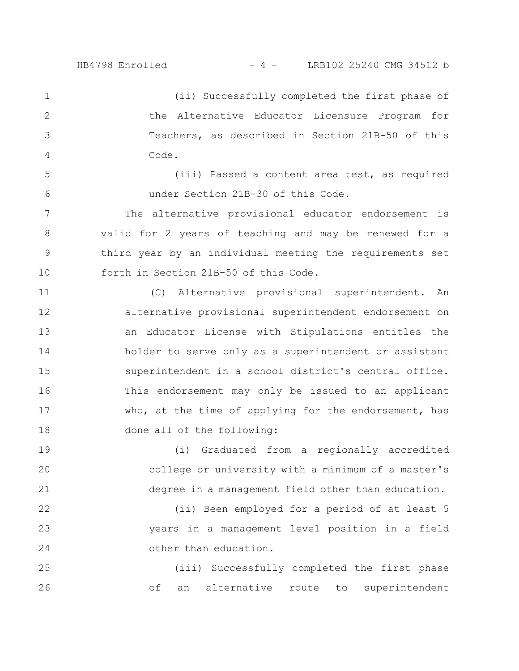5

6

(ii) Successfully completed the first phase of the Alternative Educator Licensure Program for Teachers, as described in Section 21B-50 of this Code. 1 2 3 4

(iii) Passed a content area test, as required under Section 21B-30 of this Code.

The alternative provisional educator endorsement is valid for 2 years of teaching and may be renewed for a third year by an individual meeting the requirements set forth in Section 21B-50 of this Code. 7 8 9 10

(C) Alternative provisional superintendent. An alternative provisional superintendent endorsement on an Educator License with Stipulations entitles the holder to serve only as a superintendent or assistant superintendent in a school district's central office. This endorsement may only be issued to an applicant who, at the time of applying for the endorsement, has done all of the following: 11 12 13 14 15 16 17 18

(i) Graduated from a regionally accredited college or university with a minimum of a master's degree in a management field other than education. 19 20 21

(ii) Been employed for a period of at least 5 years in a management level position in a field other than education. 22 23 24

(iii) Successfully completed the first phase of an alternative route to superintendent 25 26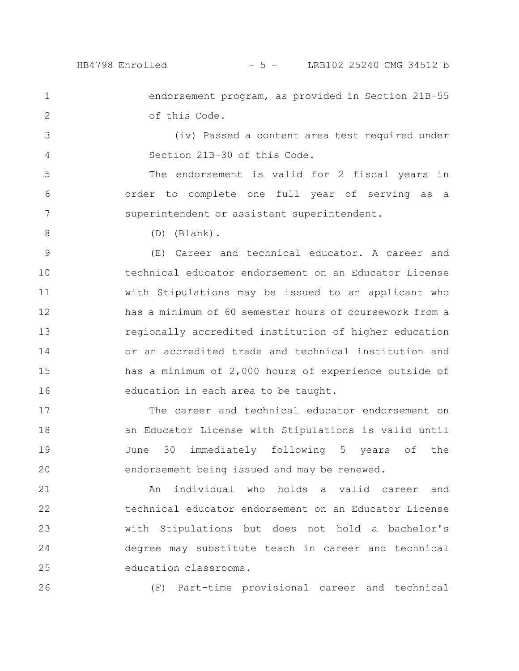1 2

5

6

7

endorsement program, as provided in Section 21B-55 of this Code.

(iv) Passed a content area test required under Section 21B-30 of this Code. 3 4

The endorsement is valid for 2 fiscal years in order to complete one full year of serving as a superintendent or assistant superintendent.

8

(D) (Blank).

(E) Career and technical educator. A career and technical educator endorsement on an Educator License with Stipulations may be issued to an applicant who has a minimum of 60 semester hours of coursework from a regionally accredited institution of higher education or an accredited trade and technical institution and has a minimum of 2,000 hours of experience outside of education in each area to be taught. 9 10 11 12 13 14 15 16

The career and technical educator endorsement on an Educator License with Stipulations is valid until June 30 immediately following 5 years of the endorsement being issued and may be renewed. 17 18 19 20

An individual who holds a valid career and technical educator endorsement on an Educator License with Stipulations but does not hold a bachelor's degree may substitute teach in career and technical education classrooms. 21 22 23 24 25

26

(F) Part-time provisional career and technical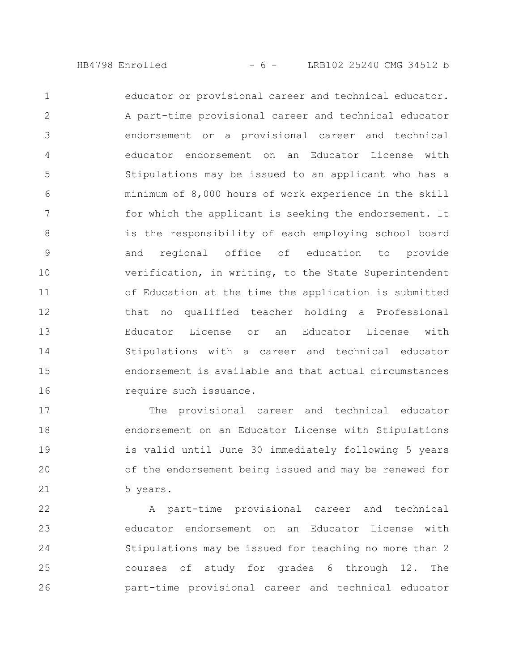educator or provisional career and technical educator. A part-time provisional career and technical educator endorsement or a provisional career and technical educator endorsement on an Educator License with Stipulations may be issued to an applicant who has a minimum of 8,000 hours of work experience in the skill for which the applicant is seeking the endorsement. It is the responsibility of each employing school board and regional office of education to provide verification, in writing, to the State Superintendent of Education at the time the application is submitted that no qualified teacher holding a Professional Educator License or an Educator License with Stipulations with a career and technical educator endorsement is available and that actual circumstances require such issuance. 1 2 3 4 5 6 7 8 9 10 11 12 13 14 15 16

The provisional career and technical educator endorsement on an Educator License with Stipulations is valid until June 30 immediately following 5 years of the endorsement being issued and may be renewed for 5 years. 17 18 19 20 21

A part-time provisional career and technical educator endorsement on an Educator License with Stipulations may be issued for teaching no more than 2 courses of study for grades 6 through 12. The part-time provisional career and technical educator 22 23 24 25 26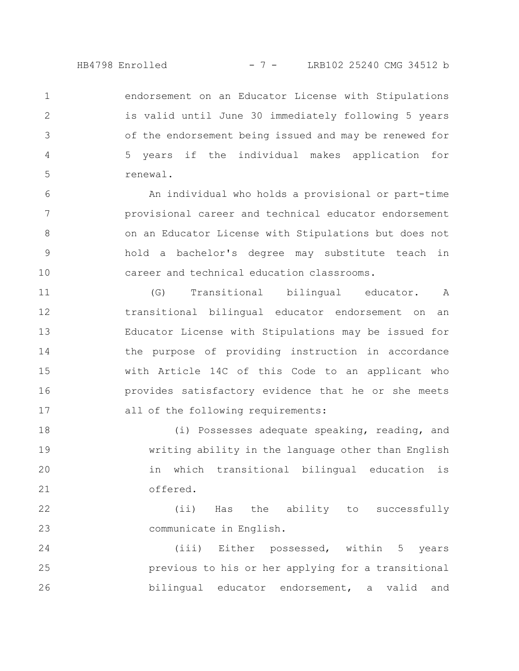endorsement on an Educator License with Stipulations is valid until June 30 immediately following 5 years of the endorsement being issued and may be renewed for 5 years if the individual makes application for renewal. 1 2 3 4 5

An individual who holds a provisional or part-time provisional career and technical educator endorsement on an Educator License with Stipulations but does not hold a bachelor's degree may substitute teach in career and technical education classrooms. 6 7 8 9 10

(G) Transitional bilingual educator. A transitional bilingual educator endorsement on an Educator License with Stipulations may be issued for the purpose of providing instruction in accordance with Article 14C of this Code to an applicant who provides satisfactory evidence that he or she meets all of the following requirements: 11 12 13 14 15 16 17

(i) Possesses adequate speaking, reading, and writing ability in the language other than English in which transitional bilingual education is offered. 18 19 20 21

(ii) Has the ability to successfully communicate in English. 22 23

(iii) Either possessed, within 5 years previous to his or her applying for a transitional bilingual educator endorsement, a valid and 24 25 26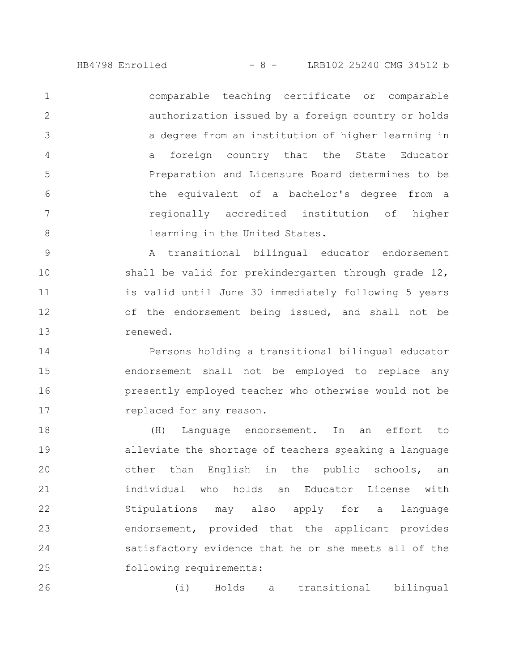HB4798 Enrolled - 8 - LRB102 25240 CMG 34512 b

comparable teaching certificate or comparable authorization issued by a foreign country or holds a degree from an institution of higher learning in a foreign country that the State Educator Preparation and Licensure Board determines to be the equivalent of a bachelor's degree from a regionally accredited institution of higher learning in the United States. 1 2 3 4 5 6 7 8

A transitional bilingual educator endorsement shall be valid for prekindergarten through grade 12, is valid until June 30 immediately following 5 years of the endorsement being issued, and shall not be renewed. 9 10 11 12 13

Persons holding a transitional bilingual educator endorsement shall not be employed to replace any presently employed teacher who otherwise would not be replaced for any reason. 14 15 16 17

(H) Language endorsement. In an effort to alleviate the shortage of teachers speaking a language other than English in the public schools, an individual who holds an Educator License with Stipulations may also apply for a language endorsement, provided that the applicant provides satisfactory evidence that he or she meets all of the following requirements: 18 19 20 21 22 23 24 25

(i) Holds a transitional bilingual 26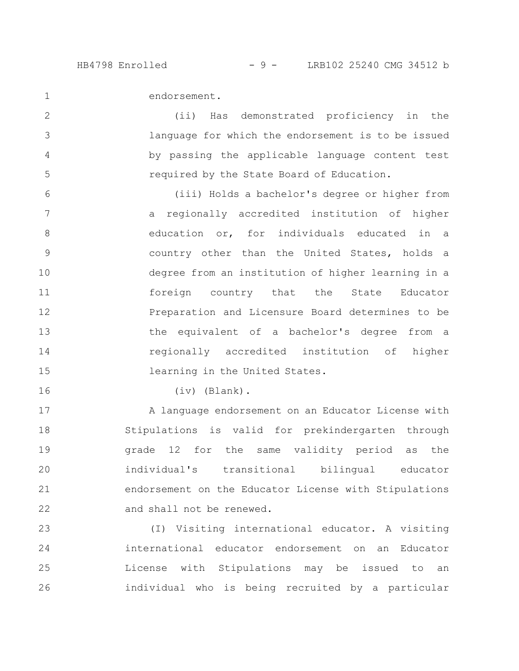1

2

3

4

5

endorsement.

(ii) Has demonstrated proficiency in the language for which the endorsement is to be issued by passing the applicable language content test required by the State Board of Education.

(iii) Holds a bachelor's degree or higher from a regionally accredited institution of higher education or, for individuals educated in a country other than the United States, holds a degree from an institution of higher learning in a foreign country that the State Educator Preparation and Licensure Board determines to be the equivalent of a bachelor's degree from a regionally accredited institution of higher learning in the United States. 6 7 8 9 10 11 12 13 14 15

16

(iv) (Blank).

A language endorsement on an Educator License with Stipulations is valid for prekindergarten through grade 12 for the same validity period as the individual's transitional bilingual educator endorsement on the Educator License with Stipulations and shall not be renewed. 17 18 19 20 21 22

(I) Visiting international educator. A visiting international educator endorsement on an Educator License with Stipulations may be issued to an individual who is being recruited by a particular 23 24 25 26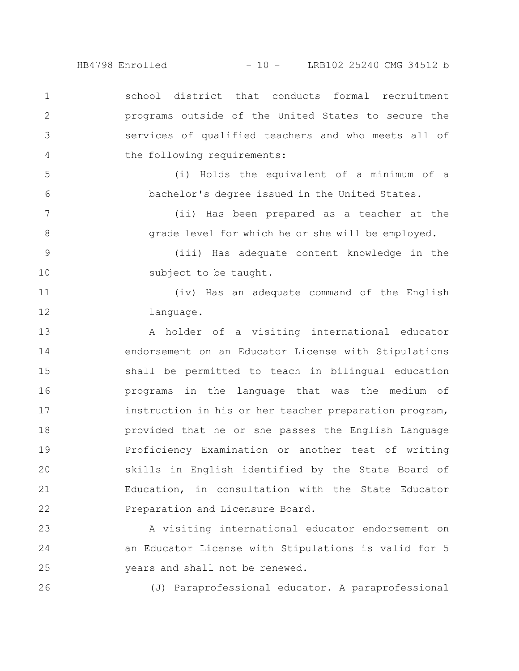HB4798 Enrolled - 10 - LRB102 25240 CMG 34512 b

school district that conducts formal recruitment programs outside of the United States to secure the services of qualified teachers and who meets all of the following requirements: 1 2 3 4

5

6

7

8

26

(i) Holds the equivalent of a minimum of a bachelor's degree issued in the United States.

> (ii) Has been prepared as a teacher at the grade level for which he or she will be employed.

(iii) Has adequate content knowledge in the subject to be taught. 9 10

(iv) Has an adequate command of the English language. 11 12

A holder of a visiting international educator endorsement on an Educator License with Stipulations shall be permitted to teach in bilingual education programs in the language that was the medium of instruction in his or her teacher preparation program, provided that he or she passes the English Language Proficiency Examination or another test of writing skills in English identified by the State Board of Education, in consultation with the State Educator Preparation and Licensure Board. 13 14 15 16 17 18 19 20 21 22

A visiting international educator endorsement on an Educator License with Stipulations is valid for 5 years and shall not be renewed. 23 24 25

(J) Paraprofessional educator. A paraprofessional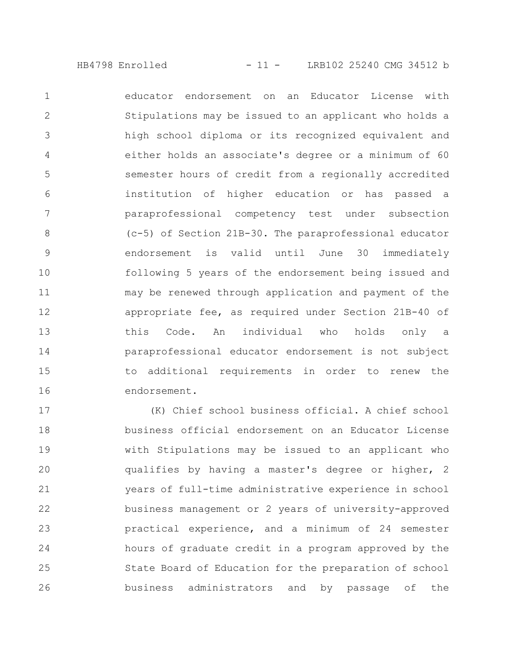educator endorsement on an Educator License with Stipulations may be issued to an applicant who holds a high school diploma or its recognized equivalent and either holds an associate's degree or a minimum of 60 semester hours of credit from a regionally accredited institution of higher education or has passed a paraprofessional competency test under subsection (c-5) of Section 21B-30. The paraprofessional educator endorsement is valid until June 30 immediately following 5 years of the endorsement being issued and may be renewed through application and payment of the appropriate fee, as required under Section 21B-40 of this Code. An individual who holds only a paraprofessional educator endorsement is not subject to additional requirements in order to renew the endorsement. 1 2 3 4 5 6 7 8 9 10 11 12 13 14 15 16

(K) Chief school business official. A chief school business official endorsement on an Educator License with Stipulations may be issued to an applicant who qualifies by having a master's degree or higher, 2 years of full-time administrative experience in school business management or 2 years of university-approved practical experience, and a minimum of 24 semester hours of graduate credit in a program approved by the State Board of Education for the preparation of school business administrators and by passage of the 17 18 19 20 21 22 23 24 25 26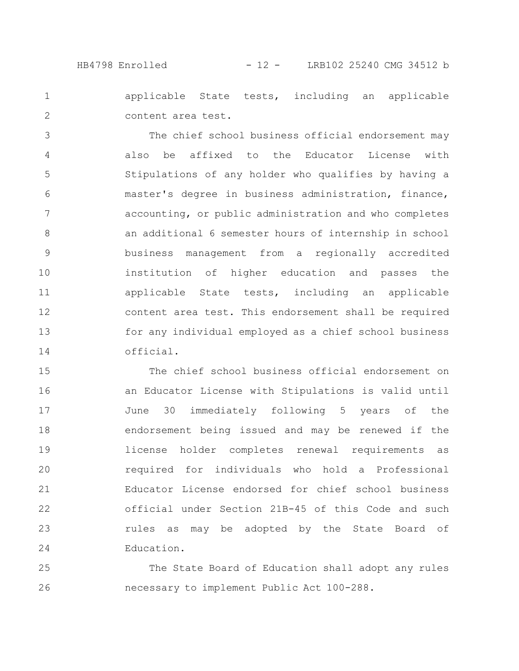HB4798 Enrolled - 12 - LRB102 25240 CMG 34512 b

applicable State tests, including an applicable content area test. 1 2

The chief school business official endorsement may also be affixed to the Educator License with Stipulations of any holder who qualifies by having a master's degree in business administration, finance, accounting, or public administration and who completes an additional 6 semester hours of internship in school business management from a regionally accredited institution of higher education and passes the applicable State tests, including an applicable content area test. This endorsement shall be required for any individual employed as a chief school business official. 3 4 5 6 7 8 9 10 11 12 13 14

The chief school business official endorsement on an Educator License with Stipulations is valid until June 30 immediately following 5 years of the endorsement being issued and may be renewed if the license holder completes renewal requirements as required for individuals who hold a Professional Educator License endorsed for chief school business official under Section 21B-45 of this Code and such rules as may be adopted by the State Board of Education. 15 16 17 18 19 20 21 22 23 24

The State Board of Education shall adopt any rules necessary to implement Public Act 100-288. 25 26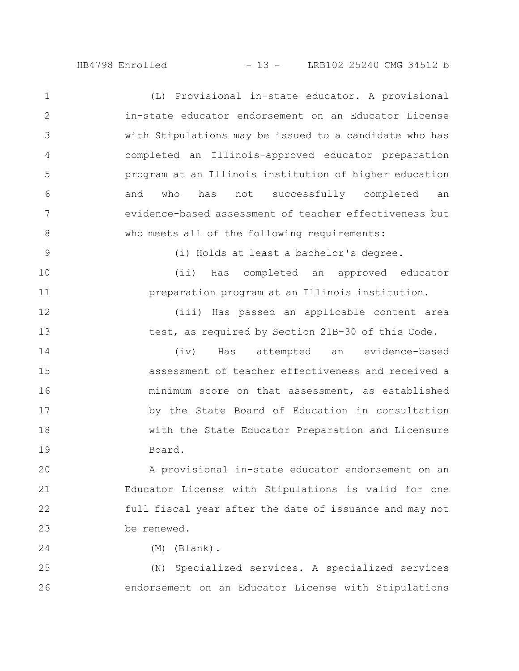HB4798 Enrolled - 13 - LRB102 25240 CMG 34512 b

(L) Provisional in-state educator. A provisional in-state educator endorsement on an Educator License with Stipulations may be issued to a candidate who has completed an Illinois-approved educator preparation program at an Illinois institution of higher education and who has not successfully completed an evidence-based assessment of teacher effectiveness but who meets all of the following requirements: (i) Holds at least a bachelor's degree. (ii) Has completed an approved educator preparation program at an Illinois institution. (iii) Has passed an applicable content area test, as required by Section 21B-30 of this Code. (iv) Has attempted an evidence-based assessment of teacher effectiveness and received a minimum score on that assessment, as established by the State Board of Education in consultation with the State Educator Preparation and Licensure Board. A provisional in-state educator endorsement on an Educator License with Stipulations is valid for one full fiscal year after the date of issuance and may not be renewed. 1 2 3 4 5 6 7 8 9 10 11 12 13 14 15 16 17 18 19 20 21 22 23

24

(M) (Blank).

(N) Specialized services. A specialized services endorsement on an Educator License with Stipulations 25 26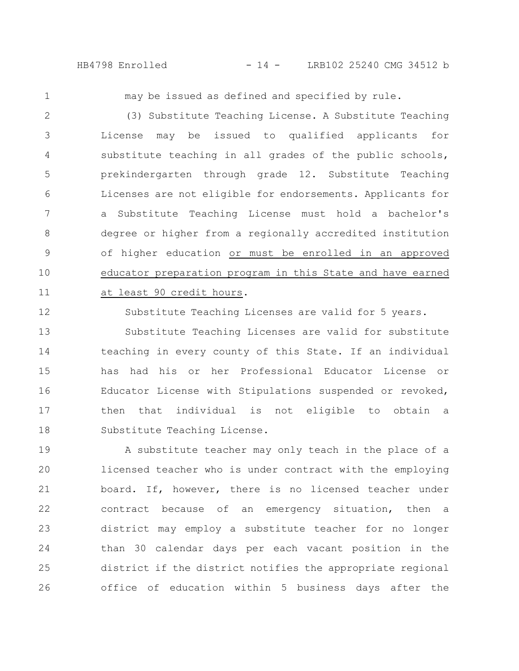HB4798 Enrolled - 14 - LRB102 25240 CMG 34512 b

1

12

may be issued as defined and specified by rule.

(3) Substitute Teaching License. A Substitute Teaching License may be issued to qualified applicants for substitute teaching in all grades of the public schools, prekindergarten through grade 12. Substitute Teaching Licenses are not eligible for endorsements. Applicants for a Substitute Teaching License must hold a bachelor's degree or higher from a regionally accredited institution of higher education or must be enrolled in an approved educator preparation program in this State and have earned at least 90 credit hours. 2 3 4 5 6 7 8 9 10 11

Substitute Teaching Licenses are valid for 5 years.

Substitute Teaching Licenses are valid for substitute teaching in every county of this State. If an individual has had his or her Professional Educator License or Educator License with Stipulations suspended or revoked, then that individual is not eligible to obtain a Substitute Teaching License. 13 14 15 16 17 18

A substitute teacher may only teach in the place of a licensed teacher who is under contract with the employing board. If, however, there is no licensed teacher under contract because of an emergency situation, then a district may employ a substitute teacher for no longer than 30 calendar days per each vacant position in the district if the district notifies the appropriate regional office of education within 5 business days after the 19 20 21 22 23 24 25 26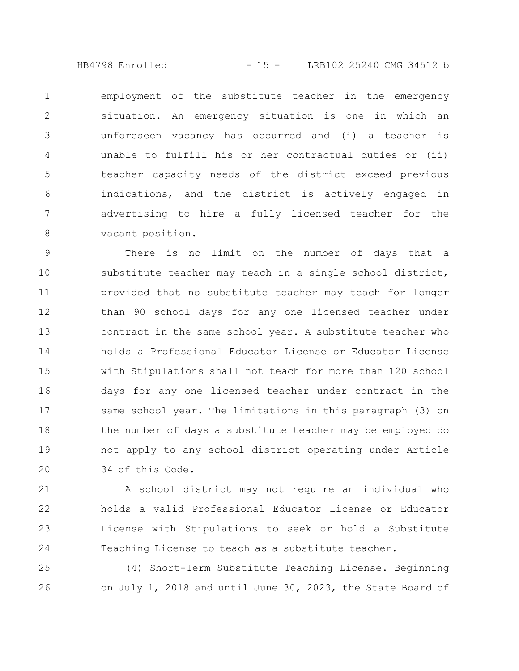HB4798 Enrolled - 15 - LRB102 25240 CMG 34512 b

employment of the substitute teacher in the emergency situation. An emergency situation is one in which an unforeseen vacancy has occurred and (i) a teacher is unable to fulfill his or her contractual duties or (ii) teacher capacity needs of the district exceed previous indications, and the district is actively engaged in advertising to hire a fully licensed teacher for the vacant position. 1 2 3 4 5 6 7 8

There is no limit on the number of days that a substitute teacher may teach in a single school district, provided that no substitute teacher may teach for longer than 90 school days for any one licensed teacher under contract in the same school year. A substitute teacher who holds a Professional Educator License or Educator License with Stipulations shall not teach for more than 120 school days for any one licensed teacher under contract in the same school year. The limitations in this paragraph (3) on the number of days a substitute teacher may be employed do not apply to any school district operating under Article 34 of this Code. 9 10 11 12 13 14 15 16 17 18 19 20

A school district may not require an individual who holds a valid Professional Educator License or Educator License with Stipulations to seek or hold a Substitute Teaching License to teach as a substitute teacher. 21 22 23 24

(4) Short-Term Substitute Teaching License. Beginning on July 1, 2018 and until June 30, 2023, the State Board of 25 26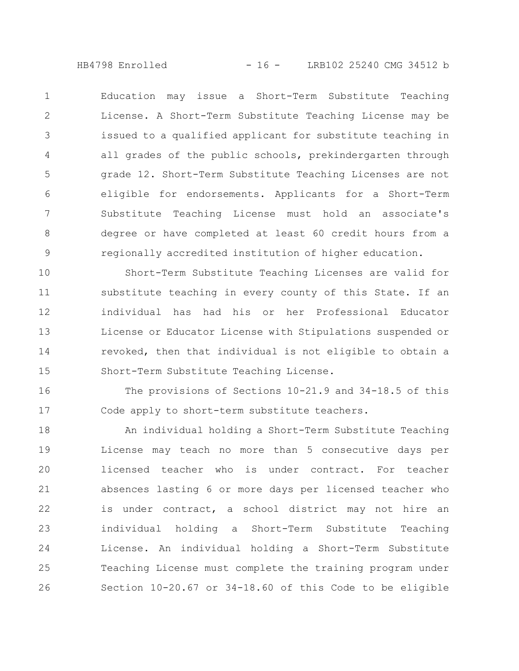HB4798 Enrolled - 16 - LRB102 25240 CMG 34512 b

Education may issue a Short-Term Substitute Teaching License. A Short-Term Substitute Teaching License may be issued to a qualified applicant for substitute teaching in all grades of the public schools, prekindergarten through grade 12. Short-Term Substitute Teaching Licenses are not eligible for endorsements. Applicants for a Short-Term Substitute Teaching License must hold an associate's degree or have completed at least 60 credit hours from a regionally accredited institution of higher education. 1 2 3 4 5 6 7 8 9

Short-Term Substitute Teaching Licenses are valid for substitute teaching in every county of this State. If an individual has had his or her Professional Educator License or Educator License with Stipulations suspended or revoked, then that individual is not eligible to obtain a Short-Term Substitute Teaching License. 10 11 12 13 14 15

The provisions of Sections 10-21.9 and 34-18.5 of this Code apply to short-term substitute teachers. 16 17

An individual holding a Short-Term Substitute Teaching License may teach no more than 5 consecutive days per licensed teacher who is under contract. For teacher absences lasting 6 or more days per licensed teacher who is under contract, a school district may not hire an individual holding a Short-Term Substitute Teaching License. An individual holding a Short-Term Substitute Teaching License must complete the training program under Section 10-20.67 or 34-18.60 of this Code to be eligible 18 19 20 21 22 23 24 25 26